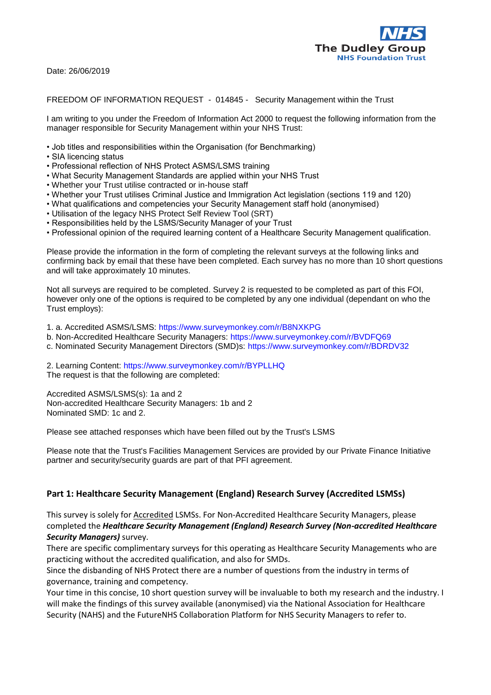

Date: 26/06/2019

#### FREEDOM OF INFORMATION REQUEST - 014845 - Security Management within the Trust

I am writing to you under the Freedom of Information Act 2000 to request the following information from the manager responsible for Security Management within your NHS Trust:

- Job titles and responsibilities within the Organisation (for Benchmarking)
- SIA licencing status
- Professional reflection of NHS Protect ASMS/LSMS training
- What Security Management Standards are applied within your NHS Trust
- Whether your Trust utilise contracted or in-house staff
- Whether your Trust utilises Criminal Justice and Immigration Act legislation (sections 119 and 120)
- What qualifications and competencies your Security Management staff hold (anonymised)
- Utilisation of the legacy NHS Protect Self Review Tool (SRT)
- Responsibilities held by the LSMS/Security Manager of your Trust
- Professional opinion of the required learning content of a Healthcare Security Management qualification.

Please provide the information in the form of completing the relevant surveys at the following links and confirming back by email that these have been completed. Each survey has no more than 10 short questions and will take approximately 10 minutes.

Not all surveys are required to be completed. Survey 2 is requested to be completed as part of this FOI, however only one of the options is required to be completed by any one individual (dependant on who the Trust employs):

1. a. Accredited ASMS/LSMS: https://www.surveymonkey.com/r/B8NXKPG

- b. Non-Accredited Healthcare Security Managers: https://www.surveymonkey.com/r/BVDFQ69
- c. Nominated Security Management Directors (SMD)s: https://www.surveymonkey.com/r/BDRDV32

2. Learning Content: https://www.surveymonkey.com/r/BYPLLHQ The request is that the following are completed:

Accredited ASMS/LSMS(s): 1a and 2 Non-accredited Healthcare Security Managers: 1b and 2 Nominated SMD: 1c and 2.

Please see attached responses which have been filled out by the Trust's LSMS

Please note that the Trust's Facilities Management Services are provided by our Private Finance Initiative partner and security/security guards are part of that PFI agreement.

#### **Part 1: Healthcare Security Management (England) Research Survey (Accredited LSMSs)**

This survey is solely for Accredited LSMSs. For Non-Accredited Healthcare Security Managers, please completed the *Healthcare Security Management (England) Research Survey (Non-accredited Healthcare Security Managers)* survey.

There are specific complimentary surveys for this operating as Healthcare Security Managements who are practicing without the accredited qualification, and also for SMDs.

Since the disbanding of NHS Protect there are a number of questions from the industry in terms of governance, training and competency.

Your time in this concise, 10 short question survey will be invaluable to both my research and the industry. I will make the findings of this survey available (anonymised) via the National Association for Healthcare Security (NAHS) and the FutureNHS Collaboration Platform for NHS Security Managers to refer to.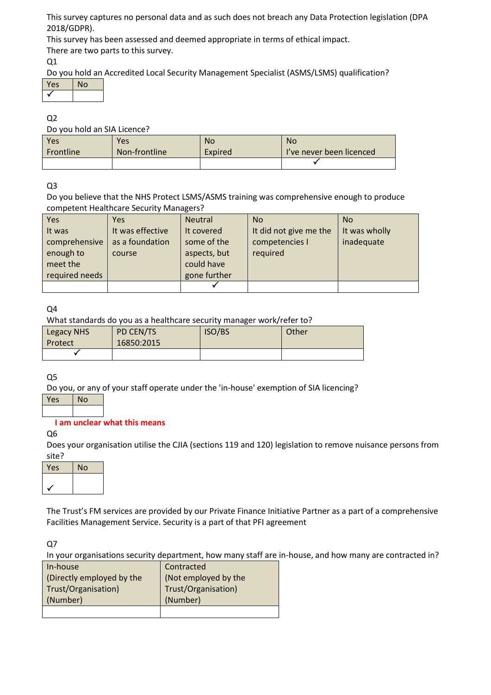This survey captures no personal data and as such does not breach any Data Protection legislation (DPA 2018/GDPR).

This survey has been assessed and deemed appropriate in terms of ethical impact. There are two parts to this survey.

Q1

Do you hold an Accredited Local Security Management Specialist (ASMS/LSMS) qualification?

| Yes | N٥ |
|-----|----|
|     |    |

Q2

Do you hold an SIA Licence?

| Yes              | Yes           | <b>No</b> | <b>No</b>                |
|------------------|---------------|-----------|--------------------------|
| <b>Frontline</b> | Non-frontline | Expired   | I've never been licenced |
|                  |               |           |                          |

Q3

Do you believe that the NHS Protect LSMS/ASMS training was comprehensive enough to produce competent Healthcare Security Managers?

| <b>Yes</b>     | Yes              | <b>Neutral</b> | <b>No</b>              | <b>No</b>     |
|----------------|------------------|----------------|------------------------|---------------|
| It was         | It was effective | It covered     | It did not give me the | It was wholly |
| comprehensive  | as a foundation  | some of the    | competencies I         | inadequate    |
| enough to      | course           | aspects, but   | required               |               |
| meet the       |                  | could have     |                        |               |
| required needs |                  | gone further   |                        |               |
|                |                  |                |                        |               |

Q4

What standards do you as a healthcare security manager work/refer to?

| <b>Legacy NHS</b><br>Protect | PD CEN/TS<br>16850:2015 | <b>ISO/BS</b> | Other |
|------------------------------|-------------------------|---------------|-------|
|                              |                         |               |       |

Q5

Do you, or any of your staff operate under the 'in-house' exemption of SIA licencing?

 $Yes$  | No

# **I am unclear what this means**

Q6

Does your organisation utilise the CJIA (sections 119 and 120) legislation to remove nuisance persons from site?

| Yes | No |
|-----|----|
|     |    |
|     |    |

The Trust's FM services are provided by our Private Finance Initiative Partner as a part of a comprehensive Facilities Management Service. Security is a part of that PFI agreement

Q7

In your organisations security department, how many staff are in-house, and how many are contracted in?

| In-house                  | Contracted           |
|---------------------------|----------------------|
| (Directly employed by the | (Not employed by the |
| Trust/Organisation)       | Trust/Organisation)  |
| (Number)                  | (Number)             |
|                           |                      |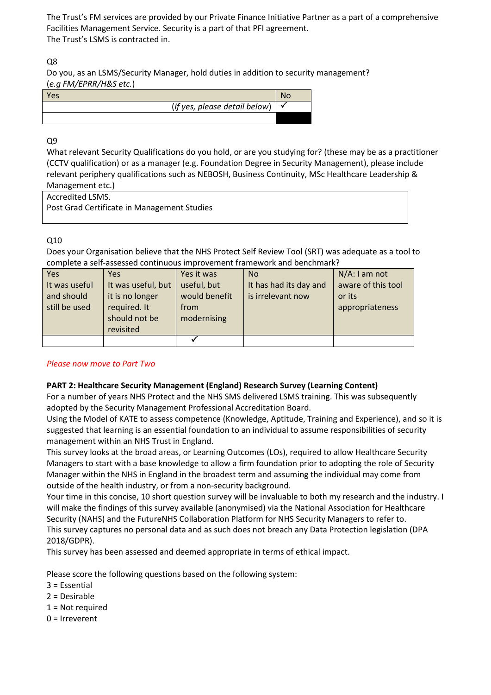The Trust's FM services are provided by our Private Finance Initiative Partner as a part of a comprehensive Facilities Management Service. Security is a part of that PFI agreement. The Trust's LSMS is contracted in.

# Q8

Do you, as an LSMS/Security Manager, hold duties in addition to security management? (*e.g FM/EPRR/H&S etc.*)



# Q9

What relevant Security Qualifications do you hold, or are you studying for? (these may be as a practitioner (CCTV qualification) or as a manager (e.g. Foundation Degree in Security Management), please include relevant periphery qualifications such as NEBOSH, Business Continuity, MSc Healthcare Leadership & Management etc.)

Accredited LSMS.

Post Grad Certificate in Management Studies

# Q10

Does your Organisation believe that the NHS Protect Self Review Tool (SRT) was adequate as a tool to complete a self-assessed continuous improvement framework and benchmark?

| Yes           | Yes                | Yes it was    | <b>No</b>              | $N/A$ : I am not   |
|---------------|--------------------|---------------|------------------------|--------------------|
| It was useful | It was useful, but | useful, but   | It has had its day and | aware of this tool |
| and should    | it is no longer    | would benefit | is irrelevant now      | or its             |
| still be used | required. It       | from          |                        | appropriateness    |
|               | should not be      | modernising   |                        |                    |
|               | revisited          |               |                        |                    |
|               |                    |               |                        |                    |

# *Please now move to Part Two*

# **PART 2: Healthcare Security Management (England) Research Survey (Learning Content)**

For a number of years NHS Protect and the NHS SMS delivered LSMS training. This was subsequently adopted by the Security Management Professional Accreditation Board.

Using the Model of KATE to assess competence (Knowledge, Aptitude, Training and Experience), and so it is suggested that learning is an essential foundation to an individual to assume responsibilities of security management within an NHS Trust in England.

This survey looks at the broad areas, or Learning Outcomes (LOs), required to allow Healthcare Security Managers to start with a base knowledge to allow a firm foundation prior to adopting the role of Security Manager within the NHS in England in the broadest term and assuming the individual may come from outside of the health industry, or from a non-security background.

Your time in this concise, 10 short question survey will be invaluable to both my research and the industry. I will make the findings of this survey available (anonymised) via the National Association for Healthcare Security (NAHS) and the FutureNHS Collaboration Platform for NHS Security Managers to refer to. This survey captures no personal data and as such does not breach any Data Protection legislation (DPA 2018/GDPR).

This survey has been assessed and deemed appropriate in terms of ethical impact.

Please score the following questions based on the following system:

- 3 = Essential
- 2 = Desirable
- 1 = Not required
- 0 = Irreverent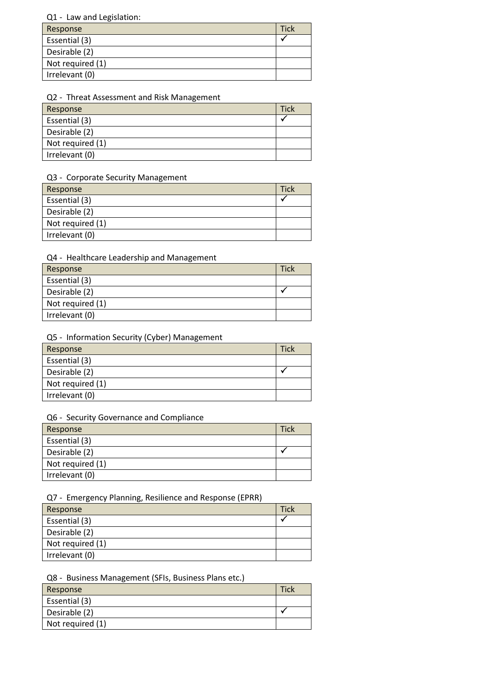## Q1 - Law and Legislation:

| Response         | <b>Tick</b> |
|------------------|-------------|
| Essential (3)    |             |
| Desirable (2)    |             |
| Not required (1) |             |
| Irrelevant (0)   |             |

## Q2 - Threat Assessment and Risk Management

| Response         | Tick |
|------------------|------|
| Essential (3)    |      |
| Desirable (2)    |      |
| Not required (1) |      |
| Irrelevant (0)   |      |

#### Q3 - Corporate Security Management

| Response         | <b>Tick</b> |
|------------------|-------------|
| Essential (3)    |             |
| Desirable (2)    |             |
| Not required (1) |             |
| Irrelevant (0)   |             |

# Q4 - Healthcare Leadership and Management

| Response         | <b>Tick</b> |
|------------------|-------------|
| Essential (3)    |             |
| Desirable (2)    |             |
| Not required (1) |             |
| Irrelevant (0)   |             |

## Q5 - Information Security (Cyber) Management

| Response         | Tick |
|------------------|------|
| Essential (3)    |      |
| Desirable (2)    |      |
| Not required (1) |      |
| Irrelevant (0)   |      |

#### Q6 - Security Governance and Compliance

| Response         | <b>Tick</b> |
|------------------|-------------|
| Essential (3)    |             |
| Desirable (2)    |             |
| Not required (1) |             |
| Irrelevant (0)   |             |
|                  |             |

# Q7 - Emergency Planning, Resilience and Response (EPRR)

| Response         | <b>Tick</b> |
|------------------|-------------|
| Essential (3)    |             |
| Desirable (2)    |             |
| Not required (1) |             |
| Irrelevant (0)   |             |

## Q8 - Business Management (SFIs, Business Plans etc.)

| Response         | Tick |
|------------------|------|
| Essential (3)    |      |
| Desirable (2)    |      |
| Not required (1) |      |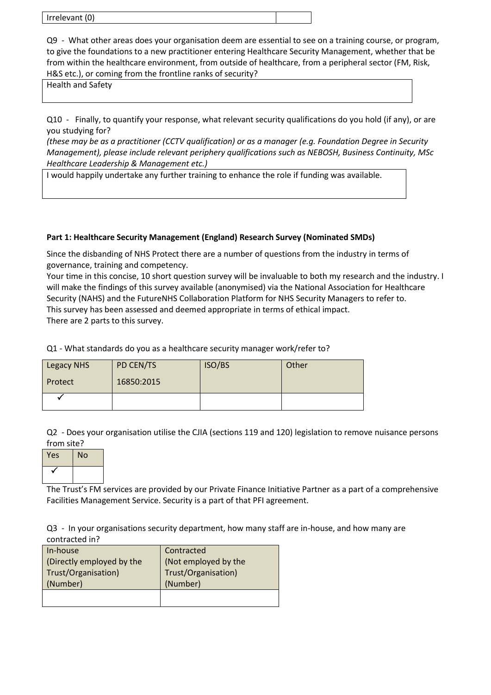| Irrelevant (0) |  |
|----------------|--|
|                |  |

Q9 - What other areas does your organisation deem are essential to see on a training course, or program, to give the foundations to a new practitioner entering Healthcare Security Management, whether that be from within the healthcare environment, from outside of healthcare, from a peripheral sector (FM, Risk, H&S etc.), or coming from the frontline ranks of security?

Health and Safety

Q10 - Finally, to quantify your response, what relevant security qualifications do you hold (if any), or are you studying for?

*(these may be as a practitioner (CCTV qualification) or as a manager (e.g. Foundation Degree in Security Management), please include relevant periphery qualifications such as NEBOSH, Business Continuity, MSc Healthcare Leadership & Management etc.)*

I would happily undertake any further training to enhance the role if funding was available.

# **Part 1: Healthcare Security Management (England) Research Survey (Nominated SMDs)**

Since the disbanding of NHS Protect there are a number of questions from the industry in terms of governance, training and competency.

Your time in this concise, 10 short question survey will be invaluable to both my research and the industry. I will make the findings of this survey available (anonymised) via the National Association for Healthcare Security (NAHS) and the FutureNHS Collaboration Platform for NHS Security Managers to refer to. This survey has been assessed and deemed appropriate in terms of ethical impact. There are 2 parts to this survey.

Q1 - What standards do you as a healthcare security manager work/refer to?

| <b>Legacy NHS</b> | PD CEN/TS  | ISO/BS | Other |
|-------------------|------------|--------|-------|
| Protect           | 16850:2015 |        |       |
|                   |            |        |       |

Q2 - Does your organisation utilise the CJIA (sections 119 and 120) legislation to remove nuisance persons from site?

| Yes | <b>No</b> |
|-----|-----------|
|     |           |

The Trust's FM services are provided by our Private Finance Initiative Partner as a part of a comprehensive Facilities Management Service. Security is a part of that PFI agreement.

Q3 - In your organisations security department, how many staff are in-house, and how many are contracted in?

| In-house                  | Contracted           |
|---------------------------|----------------------|
| (Directly employed by the | (Not employed by the |
| Trust/Organisation)       | Trust/Organisation)  |
| (Number)                  | (Number)             |
|                           |                      |
|                           |                      |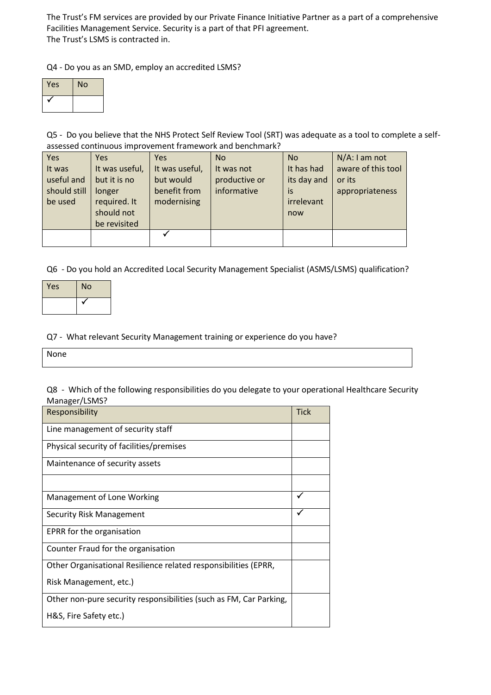The Trust's FM services are provided by our Private Finance Initiative Partner as a part of a comprehensive Facilities Management Service. Security is a part of that PFI agreement. The Trust's LSMS is contracted in.

Q4 - Do you as an SMD, employ an accredited LSMS?

| Yes | <b>No</b> |
|-----|-----------|
|     |           |

Q5 - Do you believe that the NHS Protect Self Review Tool (SRT) was adequate as a tool to complete a selfassessed continuous improvement framework and benchmark?

| Yes<br>It was<br>useful and<br>should still<br>be used | <b>Yes</b><br>It was useful,<br>but it is no<br>longer<br>required. It | Yes<br>It was useful,<br>but would<br>benefit from<br>modernising | <b>No</b><br>It was not<br>productive or<br>informative | <b>No</b><br>It has had<br>its day and<br>is<br>irrelevant | $N/A$ : I am not<br>aware of this tool<br>or its<br>appropriateness |
|--------------------------------------------------------|------------------------------------------------------------------------|-------------------------------------------------------------------|---------------------------------------------------------|------------------------------------------------------------|---------------------------------------------------------------------|
|                                                        | should not<br>be revisited                                             |                                                                   |                                                         | now                                                        |                                                                     |
|                                                        |                                                                        |                                                                   |                                                         |                                                            |                                                                     |

Q6 - Do you hold an Accredited Local Security Management Specialist (ASMS/LSMS) qualification?

| Yes | <b>No</b> |
|-----|-----------|
|     |           |

## Q7 - What relevant Security Management training or experience do you have?

| None |  |  |
|------|--|--|
|      |  |  |
|      |  |  |
|      |  |  |

Q8 - Which of the following responsibilities do you delegate to your operational Healthcare Security Manager/LSMS?

| <b>Tick</b>  |
|--------------|
|              |
|              |
|              |
|              |
| $\checkmark$ |
|              |
|              |
|              |
|              |
|              |
|              |
|              |
|              |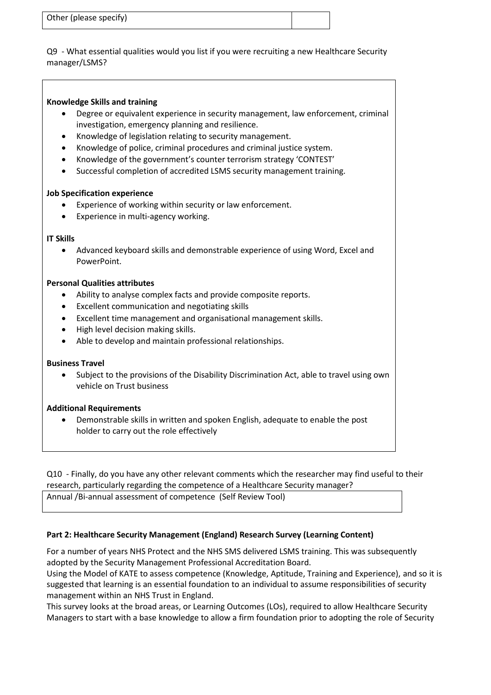| Other (please specify) |  |
|------------------------|--|
|                        |  |

Q9 - What essential qualities would you list if you were recruiting a new Healthcare Security manager/LSMS?

#### **Knowledge Skills and training**

- Degree or equivalent experience in security management, law enforcement, criminal investigation, emergency planning and resilience.
- Knowledge of legislation relating to security management.
- Knowledge of police, criminal procedures and criminal justice system.
- Knowledge of the government's counter terrorism strategy 'CONTEST'
- Successful completion of accredited LSMS security management training.

#### **Job Specification experience**

- Experience of working within security or law enforcement.
- Experience in multi-agency working.

#### **IT Skills**

 Advanced keyboard skills and demonstrable experience of using Word, Excel and PowerPoint.

#### **Personal Qualities attributes**

- Ability to analyse complex facts and provide composite reports.
- Excellent communication and negotiating skills
- Excellent time management and organisational management skills.
- $\bullet$  High level decision making skills.
- Able to develop and maintain professional relationships.

#### **Business Travel**

 Subject to the provisions of the Disability Discrimination Act, able to travel using own vehicle on Trust business

#### **Additional Requirements**

 Demonstrable skills in written and spoken English, adequate to enable the post holder to carry out the role effectively

Q10 - Finally, do you have any other relevant comments which the researcher may find useful to their research, particularly regarding the competence of a Healthcare Security manager?

Annual /Bi-annual assessment of competence (Self Review Tool)

#### **Part 2: Healthcare Security Management (England) Research Survey (Learning Content)**

For a number of years NHS Protect and the NHS SMS delivered LSMS training. This was subsequently adopted by the Security Management Professional Accreditation Board.

Using the Model of KATE to assess competence (Knowledge, Aptitude, Training and Experience), and so it is suggested that learning is an essential foundation to an individual to assume responsibilities of security management within an NHS Trust in England.

This survey looks at the broad areas, or Learning Outcomes (LOs), required to allow Healthcare Security Managers to start with a base knowledge to allow a firm foundation prior to adopting the role of Security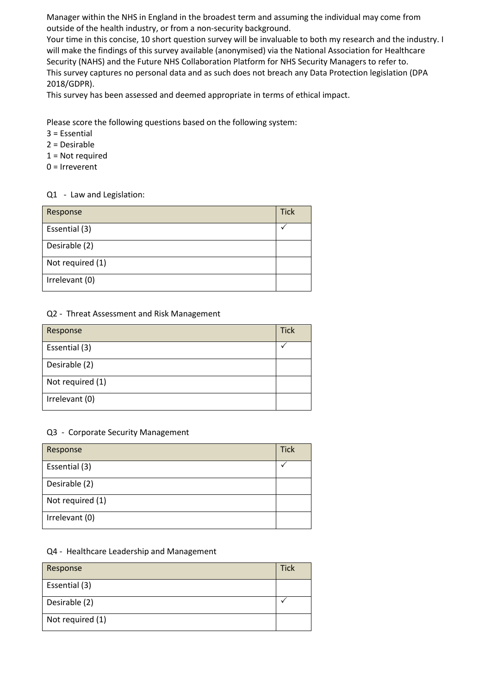Manager within the NHS in England in the broadest term and assuming the individual may come from outside of the health industry, or from a non-security background.

Your time in this concise, 10 short question survey will be invaluable to both my research and the industry. I will make the findings of this survey available (anonymised) via the National Association for Healthcare Security (NAHS) and the Future NHS Collaboration Platform for NHS Security Managers to refer to. This survey captures no personal data and as such does not breach any Data Protection legislation (DPA 2018/GDPR).

This survey has been assessed and deemed appropriate in terms of ethical impact.

Please score the following questions based on the following system:

- 3 = Essential
- 2 = Desirable
- 1 = Not required
- 0 = Irreverent

## Q1 - Law and Legislation:

| Response         | <b>Tick</b> |
|------------------|-------------|
| Essential (3)    |             |
| Desirable (2)    |             |
| Not required (1) |             |
| Irrelevant (0)   |             |

# Q2 - Threat Assessment and Risk Management

| Response         | <b>Tick</b> |
|------------------|-------------|
| Essential (3)    |             |
| Desirable (2)    |             |
| Not required (1) |             |
| Irrelevant (0)   |             |

#### Q3 - Corporate Security Management

| Response         | <b>Tick</b> |
|------------------|-------------|
| Essential (3)    |             |
| Desirable (2)    |             |
| Not required (1) |             |
| Irrelevant (0)   |             |

#### Q4 - Healthcare Leadership and Management

| Response         | <b>Tick</b> |
|------------------|-------------|
| Essential (3)    |             |
| Desirable (2)    |             |
| Not required (1) |             |